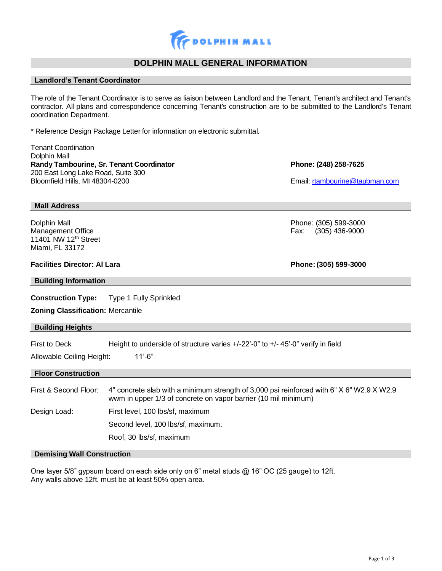

# **DOLPHIN MALL GENERAL INFORMATION**

# **Landlord's Tenant Coordinator**

The role of the Tenant Coordinator is to serve as liaison between Landlord and the Tenant, Tenant's architect and Tenant's contractor. All plans and correspondence concerning Tenant's construction are to be submitted to the Landlord's Tenant coordination Department.

\* Reference Design Package Letter for information on electronic submittal.

| <b>Tenant Coordination</b><br>Dolphin Mall<br>Randy Tambourine, Sr. Tenant Coordinator<br>200 East Long Lake Road, Suite 300<br>Bloomfield Hills, MI 48304-0200             |                                                                                                                                                             | Phone: (248) 258-7625<br>Email: rtambourine@taubman.com |  |  |
|-----------------------------------------------------------------------------------------------------------------------------------------------------------------------------|-------------------------------------------------------------------------------------------------------------------------------------------------------------|---------------------------------------------------------|--|--|
| <b>Mall Address</b>                                                                                                                                                         |                                                                                                                                                             |                                                         |  |  |
| Dolphin Mall<br>Management Office<br>11401 NW 12 <sup>th</sup> Street<br>Miami, FL 33172                                                                                    |                                                                                                                                                             | Phone: (305) 599-3000<br>$(305)$ 436-9000<br>Fax:       |  |  |
| <b>Facilities Director: Al Lara</b>                                                                                                                                         |                                                                                                                                                             | Phone: (305) 599-3000                                   |  |  |
| <b>Building Information</b>                                                                                                                                                 |                                                                                                                                                             |                                                         |  |  |
| <b>Construction Type:</b>                                                                                                                                                   | <b>Type 1 Fully Sprinkled</b>                                                                                                                               |                                                         |  |  |
| <b>Zoning Classification: Mercantile</b>                                                                                                                                    |                                                                                                                                                             |                                                         |  |  |
| <b>Building Heights</b>                                                                                                                                                     |                                                                                                                                                             |                                                         |  |  |
| <b>First to Deck</b><br>Height to underside of structure varies $+/-22$ <sup>-0</sup> " to $+/-45$ <sup>-0</sup> " verify in field<br>$11'-6"$<br>Allowable Ceiling Height: |                                                                                                                                                             |                                                         |  |  |
| <b>Floor Construction</b>                                                                                                                                                   |                                                                                                                                                             |                                                         |  |  |
| First & Second Floor:                                                                                                                                                       | 4" concrete slab with a minimum strength of 3,000 psi reinforced with 6" X 6" W2.9 X W2.9<br>wwm in upper 1/3 of concrete on vapor barrier (10 mil minimum) |                                                         |  |  |
| Design Load:                                                                                                                                                                | First level, 100 lbs/sf, maximum                                                                                                                            |                                                         |  |  |
|                                                                                                                                                                             | Second level, 100 lbs/sf, maximum.                                                                                                                          |                                                         |  |  |
|                                                                                                                                                                             | Roof, 30 lbs/sf, maximum                                                                                                                                    |                                                         |  |  |

# **Demising Wall Construction**

One layer 5/8" gypsum board on each side only on 6" metal studs @ 16" OC (25 gauge) to 12ft. Any walls above 12ft. must be at least 50% open area.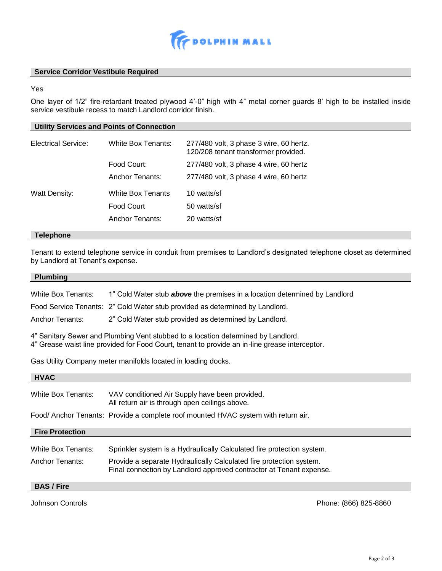

## **Service Corridor Vestibule Required**

Yes

One layer of 1/2" fire-retardant treated plywood 4'-0" high with 4" metal corner guards 8' high to be installed inside service vestibule recess to match Landlord corridor finish.

## **Utility Services and Points of Connection**

| <b>Electrical Service:</b> | White Box Tenants:       | 277/480 volt, 3 phase 3 wire, 60 hertz.<br>120/208 tenant transformer provided. |
|----------------------------|--------------------------|---------------------------------------------------------------------------------|
|                            | Food Court:              | 277/480 volt, 3 phase 4 wire, 60 hertz                                          |
|                            | Anchor Tenants:          | 277/480 volt, 3 phase 4 wire, 60 hertz                                          |
| Watt Density:              | <b>White Box Tenants</b> | 10 watts/sf                                                                     |
|                            | Food Court               | 50 watts/sf                                                                     |
|                            | Anchor Tenants:          | 20 watts/sf                                                                     |

## **Telephone**

Tenant to extend telephone service in conduit from premises to Landlord's designated telephone closet as determined by Landlord at Tenant's expense.

#### **Plumbing**

White Box Tenants: 1" Cold Water stub *above* the premises in a location determined by Landlord

Food Service Tenants: 2" Cold Water stub provided as determined by Landlord.

Anchor Tenants: 2" Cold Water stub provided as determined by Landlord.

4" Sanitary Sewer and Plumbing Vent stubbed to a location determined by Landlord.

4" Grease waist line provided for Food Court, tenant to provide an in-line grease interceptor.

Gas Utility Company meter manifolds located in loading docks.

| <b>HVAC</b>            |                                                                                                                                            |
|------------------------|--------------------------------------------------------------------------------------------------------------------------------------------|
| White Box Tenants:     | VAV conditioned Air Supply have been provided.<br>All return air is through open ceilings above.                                           |
|                        | Food/Anchor Tenants: Provide a complete roof mounted HVAC system with return air.                                                          |
| <b>Fire Protection</b> |                                                                                                                                            |
| White Box Tenants:     | Sprinkler system is a Hydraulically Calculated fire protection system.                                                                     |
| Anchor Tenants:        | Provide a separate Hydraulically Calculated fire protection system.<br>Final connection by Landlord approved contractor at Tenant expense. |
| <b>BAS / Fire</b>      |                                                                                                                                            |

Johnson Controls Phone: (866) 825-8860